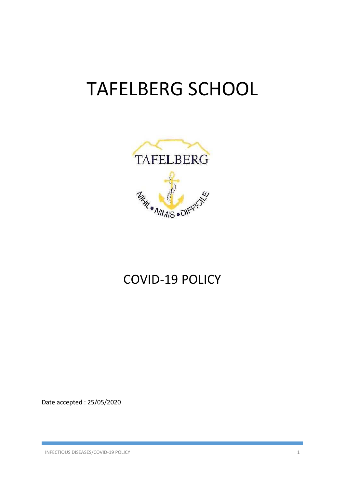# TAFELBERG SCHOOL



# COVID‐19 POLICY

Date accepted : 25/05/2020

INFECTIOUS DISEASES/COVID‐19 POLICY 1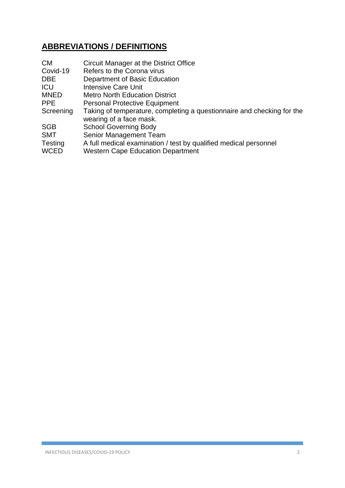# **ABBREVIATIONS / DEFINITIONS**

| <b>CM</b>                     | Circuit Manager at the District Office                                                                       |
|-------------------------------|--------------------------------------------------------------------------------------------------------------|
| Covid-19                      | Refers to the Corona virus                                                                                   |
| <b>DBE</b>                    | Department of Basic Education                                                                                |
| <b>ICU</b>                    | <b>Intensive Care Unit</b>                                                                                   |
| <b>MNED</b>                   | <b>Metro North Education District</b>                                                                        |
| <b>PPE</b>                    | <b>Personal Protective Equipment</b>                                                                         |
| Screening                     | Taking of temperature, completing a questionnaire and checking for the<br>wearing of a face mask.            |
| <b>SGB</b>                    | <b>School Governing Body</b>                                                                                 |
| <b>SMT</b>                    | Senior Management Team                                                                                       |
| <b>Testing</b><br><b>WCED</b> | A full medical examination / test by qualified medical personnel<br><b>Western Cape Education Department</b> |
|                               |                                                                                                              |

Г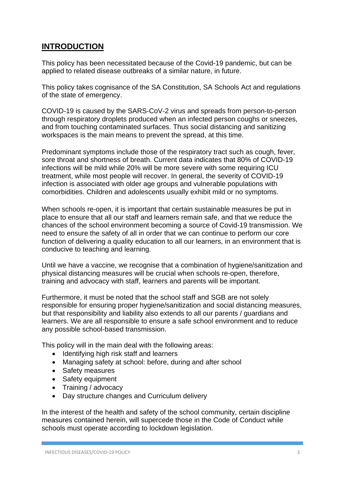# **INTRODUCTION**

This policy has been necessitated because of the Covid-19 pandemic, but can be applied to related disease outbreaks of a similar nature, in future.

This policy takes cognisance of the SA Constitution, SA Schools Act and regulations of the state of emergency.

COVID-19 is caused by the SARS-CoV-2 virus and spreads from person-to-person through respiratory droplets produced when an infected person coughs or sneezes, and from touching contaminated surfaces. Thus social distancing and sanitizing workspaces is the main means to prevent the spread, at this time.

Predominant symptoms include those of the respiratory tract such as cough, fever, sore throat and shortness of breath. Current data indicates that 80% of COVID-19 infections will be mild while 20% will be more severe with some requiring ICU treatment, while most people will recover. In general, the severity of COVID-19 infection is associated with older age groups and vulnerable populations with comorbidities. Children and adolescents usually exhibit mild or no symptoms.

When schools re-open, it is important that certain sustainable measures be put in place to ensure that all our staff and learners remain safe, and that we reduce the chances of the school environment becoming a source of Covid-19 transmission. We need to ensure the safety of all in order that we can continue to perform our core function of delivering a quality education to all our learners, in an environment that is conducive to teaching and learning.

Until we have a vaccine, we recognise that a combination of hygiene/sanitization and physical distancing measures will be crucial when schools re-open, therefore, training and advocacy with staff, learners and parents will be important.

Furthermore, it must be noted that the school staff and SGB are not solely responsible for ensuring proper hygiene/sanitization and social distancing measures, but that responsibility and liability also extends to all our parents / guardians and learners. We are all responsible to ensure a safe school environment and to reduce any possible school-based transmission.

This policy will in the main deal with the following areas:

- Identifying high risk staff and learners
- Managing safety at school: before, during and after school
- Safety measures
- Safety equipment
- Training / advocacy
- Day structure changes and Curriculum delivery

In the interest of the health and safety of the school community, certain discipline measures contained herein, will supercede those in the Code of Conduct while schools must operate according to lockdown legislation.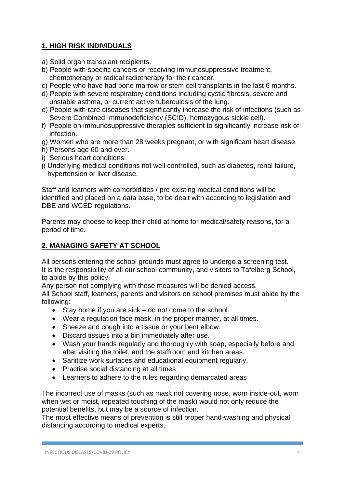## **1. HIGH RISK INDIVIDUALS**

- a) Solid organ transplant recipients.
- b) People with specific cancers or receiving immunosuppressive treatment, chemotherapy or radical radiotherapy for their cancer.
- c) People who have had bone marrow or stem cell transplants in the last 6 months.
- d) People with severe respiratory conditions including cystic fibrosis, severe and unstable asthma, or current active tuberculosis of the lung.
- e) People with rare diseases that significantly increase the risk of infections (such as Severe Combined Immunodeficiency (SCID), homozygous sickle cell).
- f) People on immunosuppressive therapies sufficient to significantly increase risk of infection.
- g) Women who are more than 28 weeks pregnant, or with significant heart disease
- h) Persons age 60 and over.
- i) Serious heart conditions.
- j) Underlying medical conditions not well controlled, such as diabetes, renal failure, hypertension or liver disease.

Staff and learners with comorbidities / pre-existing medical conditions will be identified and placed on a data base, to be dealt with according to legislation and DBE and WCED regulations.

Parents may choose to keep their child at home for medical/safety reasons, for a period of time.

## **2. MANAGING SAFETY AT SCHOOL**

All persons entering the school grounds must agree to undergo a screening test. It is the responsibility of all our school community, and visitors to Tafelberg School, to abide by this policy.

Any person not complying with these measures will be denied access.

All School staff, learners, parents and visitors on school premises must abide by the following:

- $\bullet$  Stay home if you are sick do not come to the school.
- Wear a regulation face mask, in the proper manner, at all times.
- Sneeze and cough into a tissue or your bent elbow.
- Discard tissues into a bin immediately after use.
- Wash your hands regularly and thoroughly with soap, especially before and after visiting the toilet, and the staffroom and kitchen areas.
- Sanitize work surfaces and educational equipment regularly.
- Practise social distancing at all times
- Learners to adhere to the rules regarding demarcated areas

The incorrect use of masks (such as mask not covering nose, worn inside-out, worn when wet or moist, repeated touching of the mask) would not only reduce the potential benefits, but may be a source of infection.

The most effective means of prevention is still proper hand-washing and physical distancing according to medical experts.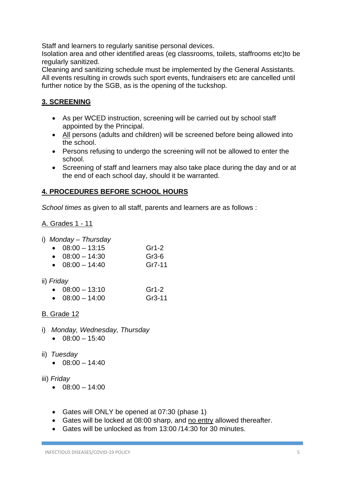Staff and learners to regularly sanitise personal devices.

Isolation area and other identified areas (eg classrooms, toilets, staffrooms etc)to be regularly sanitized.

Cleaning and sanitizing schedule must be implemented by the General Assistants. All events resulting in crowds such sport events, fundraisers etc are cancelled until further notice by the SGB, as is the opening of the tuckshop.

# **3. SCREENING**

- As per WCED instruction, screening will be carried out by school staff appointed by the Principal.
- All persons (adults and children) will be screened before being allowed into the school.
- Persons refusing to undergo the screening will not be allowed to enter the school.
- Screening of staff and learners may also take place during the day and or at the end of each school day, should it be warranted.

## **4. PROCEDURES BEFORE SCHOOL HOURS**

*School times* as given to all staff, parents and learners are as follows :

#### A. Grades 1 - 11

i) *Monday – Thursday*

- $-08:00 13:15$  Gr1-2
- $-08:00 14:30$  Gr3-6
- $\bullet$  08:00 14:40 Gr7-11
- ii) *Friday*

| $\bullet$ 08:00 - 13:10 |  | Gr1-2 |
|-------------------------|--|-------|
|                         |  |       |

 $\bullet$  08:00 – 14:00 Gr3-11

## B. Grade 12

- i) *Monday, Wednesday, Thursday*
	- $\bullet$  08:00 15:40
- ii) *Tuesday* 
	- $\bullet$  08:00 14:40

#### iii) *Friday*

- $\bullet$  08:00 14:00
- Gates will ONLY be opened at 07:30 (phase 1)
- Gates will be locked at 08:00 sharp, and no entry allowed thereafter.
- Gates will be unlocked as from 13:00 /14:30 for 30 minutes.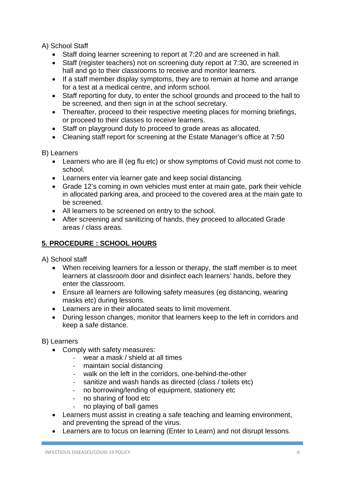A) School Staff

- Staff doing learner screening to report at 7:20 and are screened in hall.
- Staff (register teachers) not on screening duty report at 7:30, are screened in hall and go to their classrooms to receive and monitor learners.
- If a staff member display symptoms, they are to remain at home and arrange for a test at a medical centre, and inform school.
- Staff reporting for duty, to enter the school grounds and proceed to the hall to be screened, and then sign in at the school secretary.
- Thereafter, proceed to their respective meeting places for morning briefings, or proceed to their classes to receive learners.
- Staff on playground duty to proceed to grade areas as allocated.
- Cleaning staff report for screening at the Estate Manager's office at 7:50

B) Learners

- Learners who are ill (eg flu etc) or show symptoms of Covid must not come to school.
- Learners enter via learner gate and keep social distancing.
- Grade 12's coming in own vehicles must enter at main gate, park their vehicle in allocated parking area, and proceed to the covered area at the main gate to be screened.
- All learners to be screened on entry to the school.
- After screening and sanitizing of hands, they proceed to allocated Grade areas / class areas.

# **5. PROCEDURE : SCHOOL HOURS**

A) School staff

- When receiving learners for a lesson or therapy, the staff member is to meet learners at classroom door and disinfect each learners' hands, before they enter the classroom.
- Ensure all learners are following safety measures (eg distancing, wearing masks etc) during lessons.
- Learners are in their allocated seats to limit movement.
- During lesson changes, monitor that learners keep to the left in corridors and keep a safe distance.
- B) Learners
	- Comply with safety measures:
		- wear a mask / shield at all times
		- ‐ maintain social distancing
		- walk on the left in the corridors, one-behind-the-other
		- ‐ sanitize and wash hands as directed (class / toilets etc)
		- ‐ no borrowing/lending of equipment, stationery etc
		- ‐ no sharing of food etc
		- ‐ no playing of ball games
	- Learners must assist in creating a safe teaching and learning environment, and preventing the spread of the virus.
	- Learners are to focus on learning (Enter to Learn) and not disrupt lessons.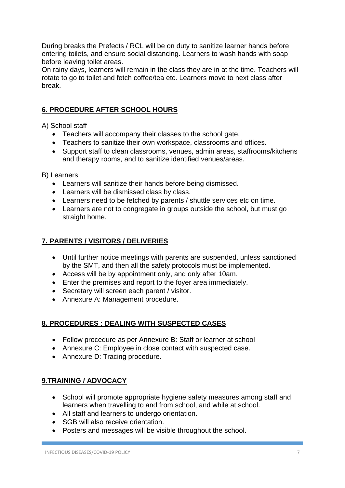During breaks the Prefects / RCL will be on duty to sanitize learner hands before entering toilets, and ensure social distancing. Learners to wash hands with soap before leaving toilet areas.

On rainy days, learners will remain in the class they are in at the time. Teachers will rotate to go to toilet and fetch coffee/tea etc. Learners move to next class after break.

#### **6. PROCEDURE AFTER SCHOOL HOURS**

A) School staff

- Teachers will accompany their classes to the school gate.
- Teachers to sanitize their own workspace, classrooms and offices.
- Support staff to clean classrooms, venues, admin areas, staffrooms/kitchens and therapy rooms, and to sanitize identified venues/areas.

B) Learners

- Learners will sanitize their hands before being dismissed.
- Learners will be dismissed class by class.
- Learners need to be fetched by parents / shuttle services etc on time.
- Learners are not to congregate in groups outside the school, but must go straight home.

#### **7. PARENTS / VISITORS / DELIVERIES**

- Until further notice meetings with parents are suspended, unless sanctioned by the SMT, and then all the safety protocols must be implemented.
- Access will be by appointment only, and only after 10am.
- Enter the premises and report to the foyer area immediately.
- Secretary will screen each parent / visitor.
- Annexure A: Management procedure.

#### **8. PROCEDURES : DEALING WITH SUSPECTED CASES**

- Follow procedure as per Annexure B: Staff or learner at school
- Annexure C: Employee in close contact with suspected case.
- Annexure D: Tracing procedure.

#### **9.TRAINING / ADVOCACY**

- School will promote appropriate hygiene safety measures among staff and learners when travelling to and from school, and while at school.
- All staff and learners to undergo orientation.
- SGB will also receive orientation.
- Posters and messages will be visible throughout the school.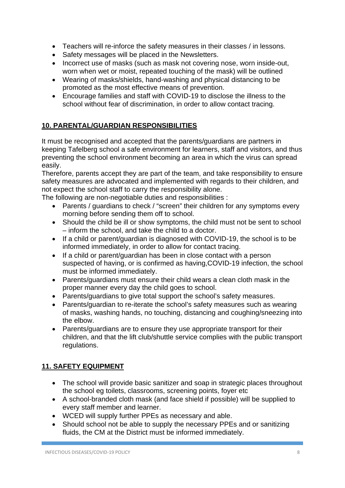- Teachers will re-inforce the safety measures in their classes / in lessons.
- Safety messages will be placed in the Newsletters.
- Incorrect use of masks (such as mask not covering nose, worn inside-out, worn when wet or moist, repeated touching of the mask) will be outlined
- Wearing of masks/shields, hand-washing and physical distancing to be promoted as the most effective means of prevention.
- Encourage families and staff with COVID-19 to disclose the illness to the school without fear of discrimination, in order to allow contact tracing.

## **10. PARENTAL/GUARDIAN RESPONSIBILITIES**

It must be recognised and accepted that the parents/guardians are partners in keeping Tafelberg school a safe environment for learners, staff and visitors, and thus preventing the school environment becoming an area in which the virus can spread easily.

Therefore, parents accept they are part of the team, and take responsibility to ensure safety measures are advocated and implemented with regards to their children, and not expect the school staff to carry the responsibility alone.

The following are non-negotiable duties and responsibilities :

- Parents / guardians to check / "screen" their children for any symptoms every morning before sending them off to school.
- Should the child be ill or show symptoms, the child must not be sent to school – inform the school, and take the child to a doctor.
- If a child or parent/guardian is diagnosed with COVID-19, the school is to be informed immediately, in order to allow for contact tracing.
- If a child or parent/quardian has been in close contact with a person suspected of having, or is confirmed as having,COVID-19 infection, the school must be informed immediately.
- Parents/guardians must ensure their child wears a clean cloth mask in the proper manner every day the child goes to school.
- Parents/guardians to give total support the school's safety measures.
- Parents/guardian to re-iterate the school's safety measures such as wearing of masks, washing hands, no touching, distancing and coughing/sneezing into the elbow.
- Parents/guardians are to ensure they use appropriate transport for their children, and that the lift club/shuttle service complies with the public transport regulations.

## **11. SAFETY EQUIPMENT**

- The school will provide basic sanitizer and soap in strategic places throughout the school eg toilets, classrooms, screening points, foyer etc
- A school-branded cloth mask (and face shield if possible) will be supplied to every staff member and learner.
- WCED will supply further PPEs as necessary and able.
- Should school not be able to supply the necessary PPEs and or sanitizing fluids, the CM at the District must be informed immediately.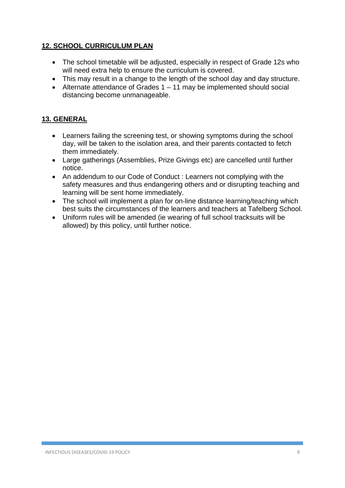## **12. SCHOOL CURRICULUM PLAN**

- The school timetable will be adjusted, especially in respect of Grade 12s who will need extra help to ensure the curriculum is covered.
- This may result in a change to the length of the school day and day structure.
- Alternate attendance of Grades  $1 11$  may be implemented should social distancing become unmanageable.

#### **13. GENERAL**

- Learners failing the screening test, or showing symptoms during the school day, will be taken to the isolation area, and their parents contacted to fetch them immediately.
- Large gatherings (Assemblies, Prize Givings etc) are cancelled until further notice.
- An addendum to our Code of Conduct : Learners not complying with the safety measures and thus endangering others and or disrupting teaching and learning will be sent home immediately.
- The school will implement a plan for on-line distance learning/teaching which best suits the circumstances of the learners and teachers at Tafelberg School.
- Uniform rules will be amended (ie wearing of full school tracksuits will be allowed) by this policy, until further notice.